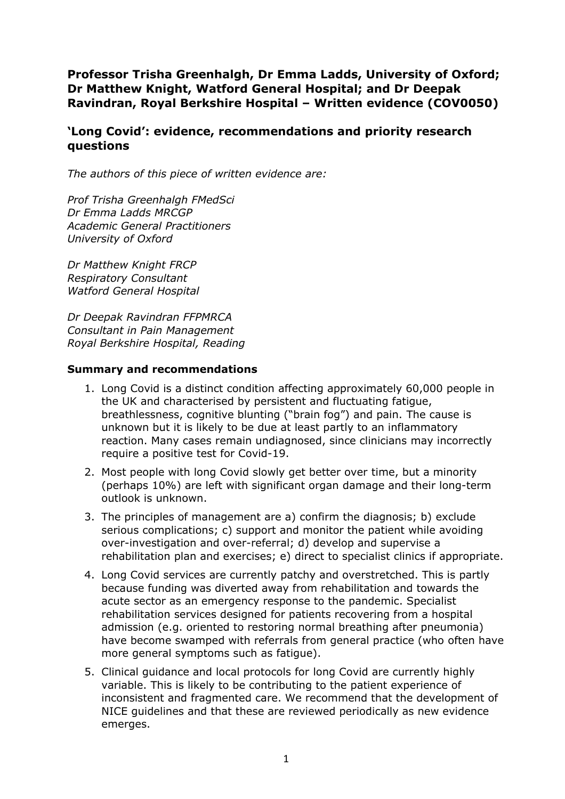**Professor Trisha Greenhalgh, Dr Emma Ladds, University of Oxford; Dr Matthew Knight, Watford General Hospital; and Dr Deepak Ravindran, Royal Berkshire Hospital – Written evidence (COV0050)**

# **'Long Covid': evidence, recommendations and priority research questions**

*The authors of this piece of written evidence are:*

*Prof Trisha Greenhalgh FMedSci Dr Emma Ladds MRCGP Academic General Practitioners University of Oxford*

*Dr Matthew Knight FRCP Respiratory Consultant Watford General Hospital*

*Dr Deepak Ravindran FFPMRCA Consultant in Pain Management Royal Berkshire Hospital, Reading*

### **Summary and recommendations**

- 1. Long Covid is a distinct condition affecting approximately 60,000 people in the UK and characterised by persistent and fluctuating fatigue, breathlessness, cognitive blunting ("brain fog") and pain. The cause is unknown but it is likely to be due at least partly to an inflammatory reaction. Many cases remain undiagnosed, since clinicians may incorrectly require a positive test for Covid-19.
- 2. Most people with long Covid slowly get better over time, but a minority (perhaps 10%) are left with significant organ damage and their long-term outlook is unknown.
- 3. The principles of management are a) confirm the diagnosis; b) exclude serious complications; c) support and monitor the patient while avoiding over-investigation and over-referral; d) develop and supervise a rehabilitation plan and exercises; e) direct to specialist clinics if appropriate.
- 4. Long Covid services are currently patchy and overstretched. This is partly because funding was diverted away from rehabilitation and towards the acute sector as an emergency response to the pandemic. Specialist rehabilitation services designed for patients recovering from a hospital admission (e.g. oriented to restoring normal breathing after pneumonia) have become swamped with referrals from general practice (who often have more general symptoms such as fatigue).
- 5. Clinical guidance and local protocols for long Covid are currently highly variable. This is likely to be contributing to the patient experience of inconsistent and fragmented care. We recommend that the development of NICE guidelines and that these are reviewed periodically as new evidence emerges.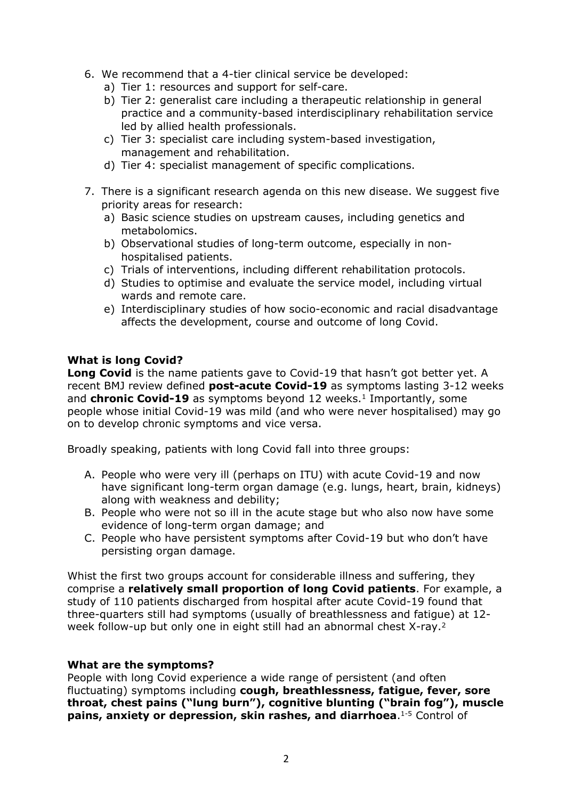- 6. We recommend that a 4-tier clinical service be developed:
	- a) Tier 1: resources and support for self-care.
	- b) Tier 2: generalist care including a therapeutic relationship in general practice and a community-based interdisciplinary rehabilitation service led by allied health professionals.
	- c) Tier 3: specialist care including system-based investigation, management and rehabilitation.
	- d) Tier 4: specialist management of specific complications.
- 7. There is a significant research agenda on this new disease. We suggest five priority areas for research:
	- a) Basic science studies on upstream causes, including genetics and metabolomics.
	- b) Observational studies of long-term outcome, especially in nonhospitalised patients.
	- c) Trials of interventions, including different rehabilitation protocols.
	- d) Studies to optimise and evaluate the service model, including virtual wards and remote care.
	- e) Interdisciplinary studies of how socio-economic and racial disadvantage affects the development, course and outcome of long Covid.

# **What is long Covid?**

**Long Covid** is the name patients gave to Covid-19 that hasn't got better yet. A recent BMJ review defined **post-acute Covid-19** as symptoms lasting 3-12 weeks and **chronic Covid-19** as symptoms beyond 12 weeks.<sup>1</sup> Importantly, some people whose initial Covid-19 was mild (and who were never hospitalised) may go on to develop chronic symptoms and vice versa.

Broadly speaking, patients with long Covid fall into three groups:

- A. People who were very ill (perhaps on ITU) with acute Covid-19 and now have significant long-term organ damage (e.g. lungs, heart, brain, kidneys) along with weakness and debility;
- B. People who were not so ill in the acute stage but who also now have some evidence of long-term organ damage; and
- C. People who have persistent symptoms after Covid-19 but who don't have persisting organ damage.

Whist the first two groups account for considerable illness and suffering, they comprise a **relatively small proportion of long Covid patients**. For example, a study of 110 patients discharged from hospital after acute Covid-19 found that three-quarters still had symptoms (usually of breathlessness and fatigue) at 12 week follow-up but only one in eight still had an abnormal chest X-ray.<sup>2</sup>

# **What are the symptoms?**

People with long Covid experience a wide range of persistent (and often fluctuating) symptoms including **cough, breathlessness, fatigue, fever, sore throat, chest pains ("lung burn"), cognitive blunting ("brain fog"), muscle pains, anxiety or depression, skin rashes, and diarrhoea**.1-5 Control of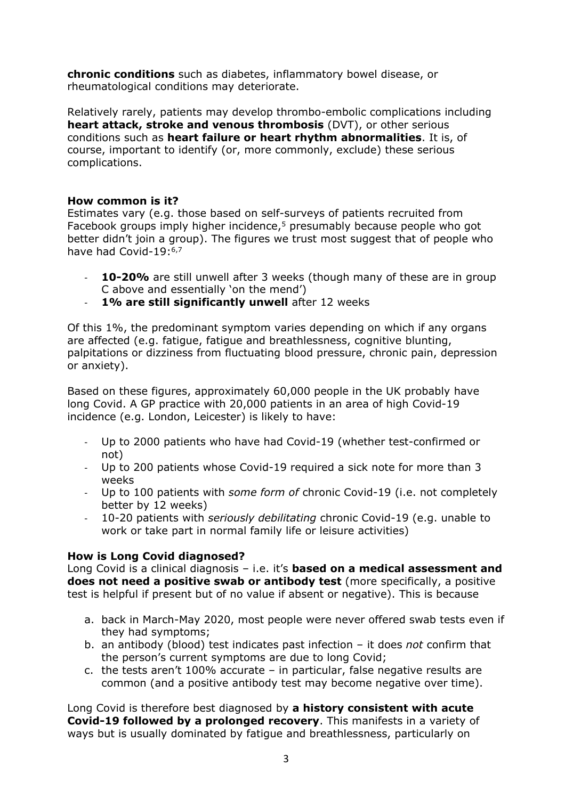**chronic conditions** such as diabetes, inflammatory bowel disease, or rheumatological conditions may deteriorate.

Relatively rarely, patients may develop thrombo-embolic complications including **heart attack, stroke and venous thrombosis** (DVT), or other serious conditions such as **heart failure or heart rhythm abnormalities**. It is, of course, important to identify (or, more commonly, exclude) these serious complications.

# **How common is it?**

Estimates vary (e.g. those based on self-surveys of patients recruited from Facebook groups imply higher incidence,5 presumably because people who got better didn't join a group). The figures we trust most suggest that of people who have had Covid-19:<sup>6,7</sup>

- **10-20%** are still unwell after 3 weeks (though many of these are in group C above and essentially 'on the mend')
- **1% are still significantly unwell** after 12 weeks

Of this 1%, the predominant symptom varies depending on which if any organs are affected (e.g. fatigue, fatigue and breathlessness, cognitive blunting, palpitations or dizziness from fluctuating blood pressure, chronic pain, depression or anxiety).

Based on these figures, approximately 60,000 people in the UK probably have long Covid. A GP practice with 20,000 patients in an area of high Covid-19 incidence (e.g. London, Leicester) is likely to have:

- Up to 2000 patients who have had Covid-19 (whether test-confirmed or not)
- Up to 200 patients whose Covid-19 required a sick note for more than 3 weeks
- Up to 100 patients with *some form of* chronic Covid-19 (i.e. not completely better by 12 weeks)
- 10-20 patients with *seriously debilitating* chronic Covid-19 (e.g. unable to work or take part in normal family life or leisure activities)

# **How is Long Covid diagnosed?**

Long Covid is a clinical diagnosis – i.e. it's **based on a medical assessment and does not need a positive swab or antibody test** (more specifically, a positive test is helpful if present but of no value if absent or negative). This is because

- a. back in March-May 2020, most people were never offered swab tests even if they had symptoms;
- b. an antibody (blood) test indicates past infection it does *not* confirm that the person's current symptoms are due to long Covid;
- c. the tests aren't 100% accurate in particular, false negative results are common (and a positive antibody test may become negative over time).

Long Covid is therefore best diagnosed by **a history consistent with acute Covid-19 followed by a prolonged recovery**. This manifests in a variety of ways but is usually dominated by fatigue and breathlessness, particularly on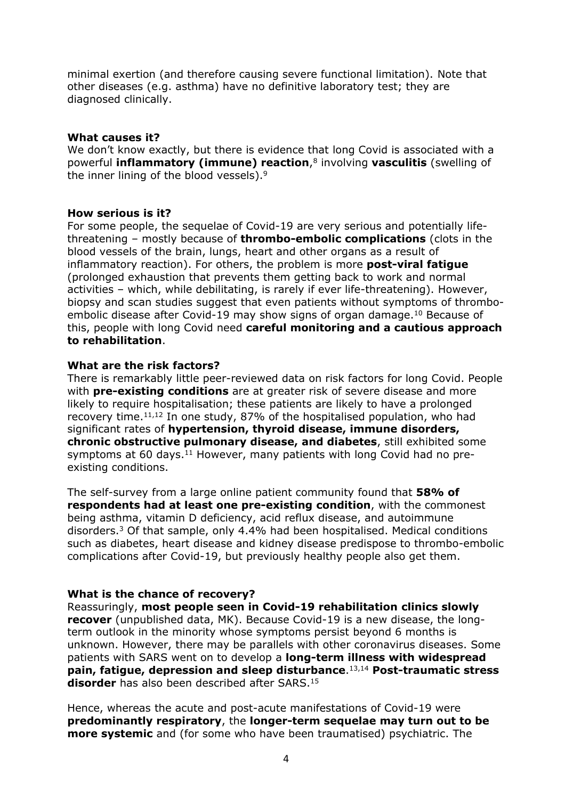minimal exertion (and therefore causing severe functional limitation). Note that other diseases (e.g. asthma) have no definitive laboratory test; they are diagnosed clinically.

### **What causes it?**

We don't know exactly, but there is evidence that long Covid is associated with a powerful **inflammatory (immune) reaction**,8 involving **vasculitis** (swelling of the inner lining of the blood vessels).9

### **How serious is it?**

For some people, the sequelae of Covid-19 are very serious and potentially lifethreatening – mostly because of **thrombo-embolic complications** (clots in the blood vessels of the brain, lungs, heart and other organs as a result of inflammatory reaction). For others, the problem is more **post-viral fatigue** (prolonged exhaustion that prevents them getting back to work and normal activities – which, while debilitating, is rarely if ever life-threatening). However, biopsy and scan studies suggest that even patients without symptoms of thromboembolic disease after Covid-19 may show signs of organ damage.<sup>10</sup> Because of this, people with long Covid need **careful monitoring and a cautious approach to rehabilitation**.

### **What are the risk factors?**

There is remarkably little peer-reviewed data on risk factors for long Covid. People with **pre-existing conditions** are at greater risk of severe disease and more likely to require hospitalisation; these patients are likely to have a prolonged recovery time.11,12 In one study, 87% of the hospitalised population, who had significant rates of **hypertension, thyroid disease, immune disorders, chronic obstructive pulmonary disease, and diabetes**, still exhibited some symptoms at 60 days.<sup>11</sup> However, many patients with long Covid had no preexisting conditions.

The self-survey from a large online patient community found that **58% of respondents had at least one pre-existing condition**, with the commonest being asthma, vitamin D deficiency, acid reflux disease, and autoimmune disorders.3 Of that sample, only 4.4% had been hospitalised. Medical conditions such as diabetes, heart disease and kidney disease predispose to thrombo-embolic complications after Covid-19, but previously healthy people also get them.

#### **What is the chance of recovery?**

Reassuringly, **most people seen in Covid-19 rehabilitation clinics slowly recover** (unpublished data, MK). Because Covid-19 is a new disease, the longterm outlook in the minority whose symptoms persist beyond 6 months is unknown. However, there may be parallels with other coronavirus diseases. Some patients with SARS went on to develop a **long-term illness with widespread pain, fatigue, depression and sleep disturbance**.13,14 **Post-traumatic stress disorder** has also been described after SARS.<sup>15</sup>

Hence, whereas the acute and post-acute manifestations of Covid-19 were **predominantly respiratory**, the **longer-term sequelae may turn out to be more systemic** and (for some who have been traumatised) psychiatric. The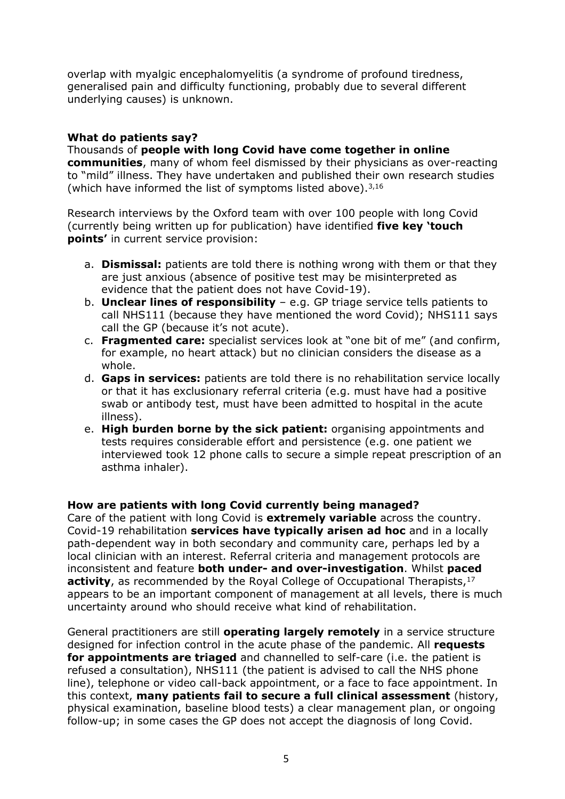overlap with myalgic encephalomyelitis (a syndrome of profound tiredness, generalised pain and difficulty functioning, probably due to several different underlying causes) is unknown.

# **What do patients say?**

Thousands of **people with long Covid have come together in online communities**, many of whom feel dismissed by their physicians as over-reacting to "mild" illness. They have undertaken and published their own research studies (which have informed the list of symptoms listed above). $3,16$ 

Research interviews by the Oxford team with over 100 people with long Covid (currently being written up for publication) have identified **five key 'touch points'** in current service provision:

- a. **Dismissal:** patients are told there is nothing wrong with them or that they are just anxious (absence of positive test may be misinterpreted as evidence that the patient does not have Covid-19).
- b. **Unclear lines of responsibility** e.g. GP triage service tells patients to call NHS111 (because they have mentioned the word Covid); NHS111 says call the GP (because it's not acute).
- c. **Fragmented care:** specialist services look at "one bit of me" (and confirm, for example, no heart attack) but no clinician considers the disease as a whole.
- d. **Gaps in services:** patients are told there is no rehabilitation service locally or that it has exclusionary referral criteria (e.g. must have had a positive swab or antibody test, must have been admitted to hospital in the acute illness).
- e. **High burden borne by the sick patient:** organising appointments and tests requires considerable effort and persistence (e.g. one patient we interviewed took 12 phone calls to secure a simple repeat prescription of an asthma inhaler).

# **How are patients with long Covid currently being managed?**

Care of the patient with long Covid is **extremely variable** across the country. Covid-19 rehabilitation **services have typically arisen ad hoc** and in a locally path-dependent way in both secondary and community care, perhaps led by a local clinician with an interest. Referral criteria and management protocols are inconsistent and feature **both under- and over-investigation**. Whilst **paced activity**, as recommended by the Royal College of Occupational Therapists,<sup>17</sup> appears to be an important component of management at all levels, there is much uncertainty around who should receive what kind of rehabilitation.

General practitioners are still **operating largely remotely** in a service structure designed for infection control in the acute phase of the pandemic. All **requests for appointments are triaged** and channelled to self-care (i.e. the patient is refused a consultation), NHS111 (the patient is advised to call the NHS phone line), telephone or video call-back appointment, or a face to face appointment. In this context, **many patients fail to secure a full clinical assessment** (history, physical examination, baseline blood tests) a clear management plan, or ongoing follow-up; in some cases the GP does not accept the diagnosis of long Covid.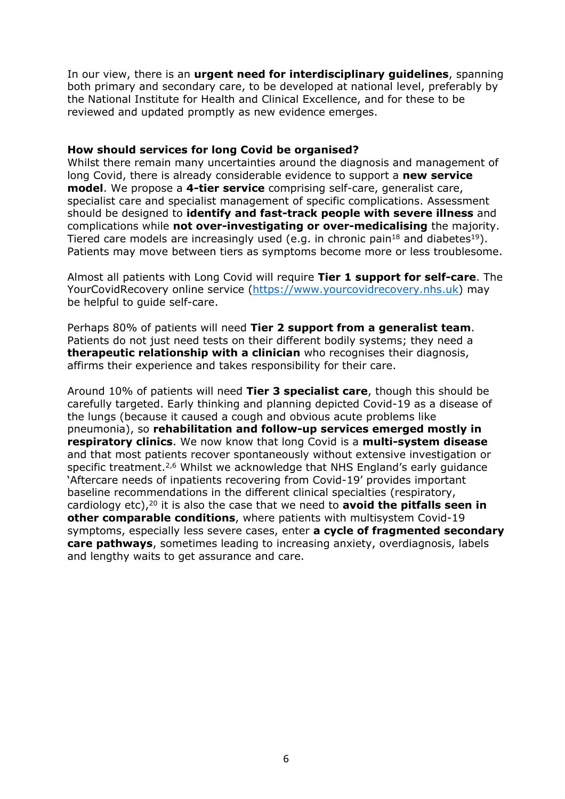In our view, there is an **urgent need for interdisciplinary guidelines**, spanning both primary and secondary care, to be developed at national level, preferably by the National Institute for Health and Clinical Excellence, and for these to be reviewed and updated promptly as new evidence emerges.

#### **How should services for long Covid be organised?**

Whilst there remain many uncertainties around the diagnosis and management of long Covid, there is already considerable evidence to support a **new service model**. We propose a **4-tier service** comprising self-care, generalist care, specialist care and specialist management of specific complications. Assessment should be designed to **identify and fast-track people with severe illness** and complications while **not over-investigating or over-medicalising** the majority. Tiered care models are increasingly used (e.g. in chronic pain<sup>18</sup> and diabetes<sup>19</sup>). Patients may move between tiers as symptoms become more or less troublesome.

Almost all patients with Long Covid will require **Tier 1 support for self-care**. The YourCovidRecovery online service (https://www.yourcovidrecovery.nhs.uk) may be helpful to guide self-care.

Perhaps 80% of patients will need **Tier 2 support from a generalist team**. Patients do not just need tests on their different bodily systems; they need a **therapeutic relationship with a clinician** who recognises their diagnosis, affirms their experience and takes responsibility for their care.

Around 10% of patients will need **Tier 3 specialist care**, though this should be carefully targeted. Early thinking and planning depicted Covid-19 as a disease of the lungs (because it caused a cough and obvious acute problems like pneumonia), so **rehabilitation and follow-up services emerged mostly in respiratory clinics**. We now know that long Covid is a **multi-system disease** and that most patients recover spontaneously without extensive investigation or specific treatment.<sup>2,6</sup> Whilst we acknowledge that NHS England's early guidance 'Aftercare needs of inpatients recovering from Covid-19' provides important baseline recommendations in the different clinical specialties (respiratory, cardiology etc),20 it is also the case that we need to **avoid the pitfalls seen in other comparable conditions**, where patients with multisystem Covid-19 symptoms, especially less severe cases, enter **a cycle of fragmented secondary care pathways**, sometimes leading to increasing anxiety, overdiagnosis, labels and lengthy waits to get assurance and care.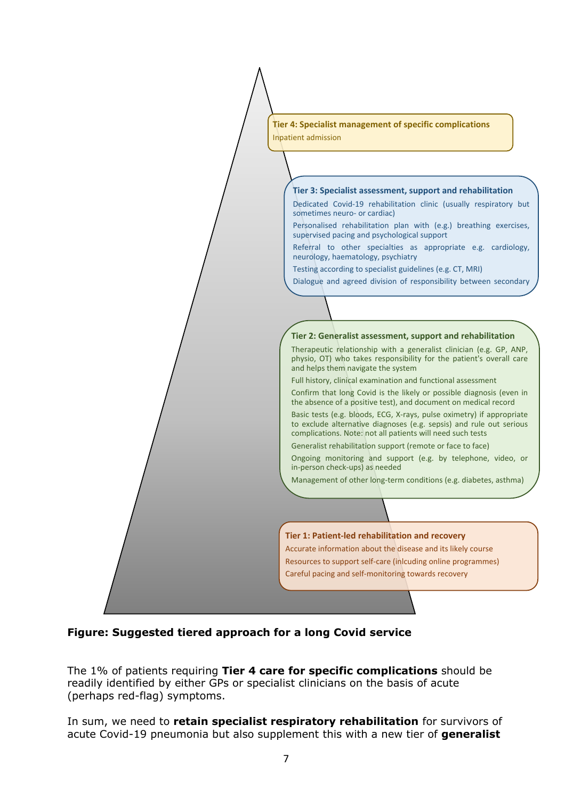

**Figure: Suggested tiered approach for a long Covid service**

The 1% of patients requiring **Tier 4 care for specific complications** should be readily identified by either GPs or specialist clinicians on the basis of acute (perhaps red-flag) symptoms.

In sum, we need to **retain specialist respiratory rehabilitation** for survivors of acute Covid-19 pneumonia but also supplement this with a new tier of **generalist**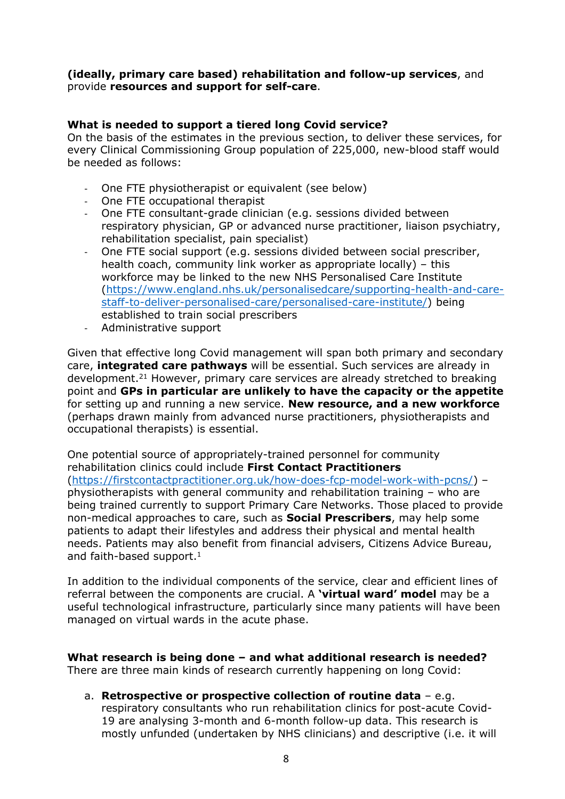### **(ideally, primary care based) rehabilitation and follow-up services**, and provide **resources and support for self-care**.

# **What is needed to support a tiered long Covid service?**

On the basis of the estimates in the previous section, to deliver these services, for every Clinical Commissioning Group population of 225,000, new-blood staff would be needed as follows:

- One FTE physiotherapist or equivalent (see below)
- One FTE occupational therapist
- One FTE consultant-grade clinician (e.g. sessions divided between respiratory physician, GP or advanced nurse practitioner, liaison psychiatry, rehabilitation specialist, pain specialist)
- One FTE social support (e.g. sessions divided between social prescriber, health coach, community link worker as appropriate locally) – this workforce may be linked to the new NHS Personalised Care Institute (https://www.england.nhs.uk/personalisedcare/supporting-health-and-carestaff-to-deliver-personalised-care/personalised-care-institute/) being established to train social prescribers
- Administrative support

Given that effective long Covid management will span both primary and secondary care, **integrated care pathways** will be essential. Such services are already in development.21 However, primary care services are already stretched to breaking point and **GPs in particular are unlikely to have the capacity or the appetite** for setting up and running a new service. **New resource, and a new workforce** (perhaps drawn mainly from advanced nurse practitioners, physiotherapists and occupational therapists) is essential.

One potential source of appropriately-trained personnel for community rehabilitation clinics could include **First Contact Practitioners** (https://firstcontactpractitioner.org.uk/how-does-fcp-model-work-with-pcns/) – physiotherapists with general community and rehabilitation training – who are being trained currently to support Primary Care Networks. Those placed to provide non-medical approaches to care, such as **Social Prescribers**, may help some patients to adapt their lifestyles and address their physical and mental health needs. Patients may also benefit from financial advisers, Citizens Advice Bureau, and faith-based support.<sup>1</sup>

In addition to the individual components of the service, clear and efficient lines of referral between the components are crucial. A **'virtual ward' model** may be a useful technological infrastructure, particularly since many patients will have been managed on virtual wards in the acute phase.

**What research is being done – and what additional research is needed?** There are three main kinds of research currently happening on long Covid:

a. **Retrospective or prospective collection of routine data** – e.g. respiratory consultants who run rehabilitation clinics for post-acute Covid-19 are analysing 3-month and 6-month follow-up data. This research is mostly unfunded (undertaken by NHS clinicians) and descriptive (i.e. it will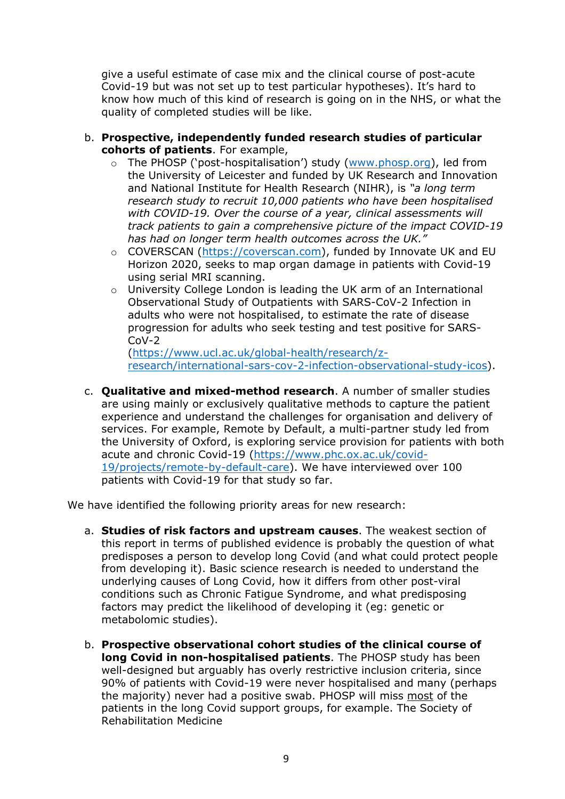give a useful estimate of case mix and the clinical course of post-acute Covid-19 but was not set up to test particular hypotheses). It's hard to know how much of this kind of research is going on in the NHS, or what the quality of completed studies will be like.

- b. **Prospective, independently funded research studies of particular cohorts of patients**. For example,
	- o The PHOSP ('post-hospitalisation') study (www.phosp.org), led from the University of Leicester and funded by UK Research and Innovation and National Institute for Health Research (NIHR), is *"a long term research study to recruit 10,000 patients who have been hospitalised with COVID-19. Over the course of a year, clinical assessments will track patients to gain a comprehensive picture of the impact COVID-19 has had on longer term health outcomes across the UK."*
	- o COVERSCAN (https://coverscan.com), funded by Innovate UK and EU Horizon 2020, seeks to map organ damage in patients with Covid-19 using serial MRI scanning.
	- o University College London is leading the UK arm of an International Observational Study of Outpatients with SARS-CoV-2 Infection in adults who were not hospitalised, to estimate the rate of disease progression for adults who seek testing and test positive for SARS- $C_0V-2$

(https://www.ucl.ac.uk/global-health/research/zresearch/international-sars-cov-2-infection-observational-study-icos).

c. **Qualitative and mixed-method research**. A number of smaller studies are using mainly or exclusively qualitative methods to capture the patient experience and understand the challenges for organisation and delivery of services. For example, Remote by Default, a multi-partner study led from the University of Oxford, is exploring service provision for patients with both acute and chronic Covid-19 (https://www.phc.ox.ac.uk/covid-19/projects/remote-by-default-care). We have interviewed over 100 patients with Covid-19 for that study so far.

We have identified the following priority areas for new research:

- a. **Studies of risk factors and upstream causes**. The weakest section of this report in terms of published evidence is probably the question of what predisposes a person to develop long Covid (and what could protect people from developing it). Basic science research is needed to understand the underlying causes of Long Covid, how it differs from other post-viral conditions such as Chronic Fatigue Syndrome, and what predisposing factors may predict the likelihood of developing it (eg: genetic or metabolomic studies).
- b. **Prospective observational cohort studies of the clinical course of long Covid in non-hospitalised patients**. The PHOSP study has been well-designed but arguably has overly restrictive inclusion criteria, since 90% of patients with Covid-19 were never hospitalised and many (perhaps the majority) never had a positive swab. PHOSP will miss most of the patients in the long Covid support groups, for example. The Society of Rehabilitation Medicine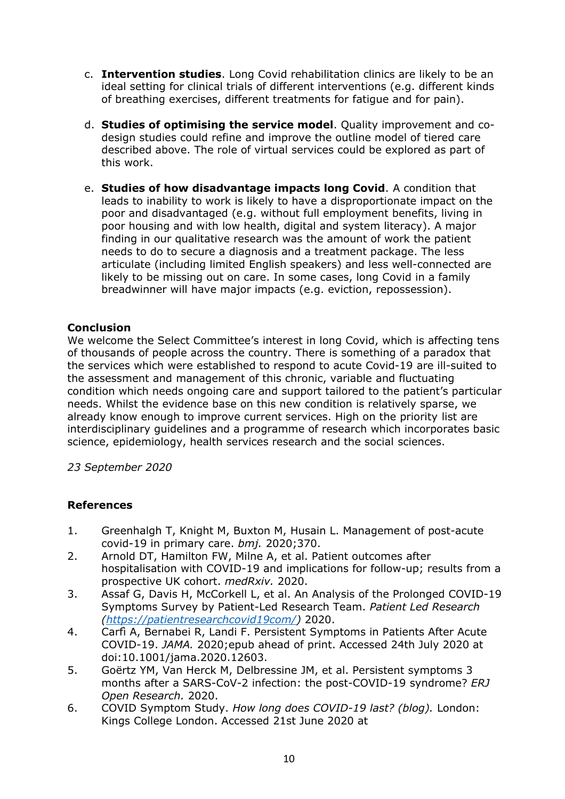- c. **Intervention studies**. Long Covid rehabilitation clinics are likely to be an ideal setting for clinical trials of different interventions (e.g. different kinds of breathing exercises, different treatments for fatigue and for pain).
- d. **Studies of optimising the service model**. Quality improvement and codesign studies could refine and improve the outline model of tiered care described above. The role of virtual services could be explored as part of this work.
- e. **Studies of how disadvantage impacts long Covid**. A condition that leads to inability to work is likely to have a disproportionate impact on the poor and disadvantaged (e.g. without full employment benefits, living in poor housing and with low health, digital and system literacy). A major finding in our qualitative research was the amount of work the patient needs to do to secure a diagnosis and a treatment package. The less articulate (including limited English speakers) and less well-connected are likely to be missing out on care. In some cases, long Covid in a family breadwinner will have major impacts (e.g. eviction, repossession).

# **Conclusion**

We welcome the Select Committee's interest in long Covid, which is affecting tens of thousands of people across the country. There is something of a paradox that the services which were established to respond to acute Covid-19 are ill-suited to the assessment and management of this chronic, variable and fluctuating condition which needs ongoing care and support tailored to the patient's particular needs. Whilst the evidence base on this new condition is relatively sparse, we already know enough to improve current services. High on the priority list are interdisciplinary guidelines and a programme of research which incorporates basic science, epidemiology, health services research and the social sciences.

*23 September 2020*

# **References**

- 1. Greenhalgh T, Knight M, Buxton M, Husain L. Management of post-acute covid-19 in primary care. *bmj.* 2020;370.
- 2. Arnold DT, Hamilton FW, Milne A, et al. Patient outcomes after hospitalisation with COVID-19 and implications for follow-up; results from a prospective UK cohort. *medRxiv.* 2020.
- 3. Assaf G, Davis H, McCorkell L, et al. An Analysis of the Prolonged COVID-19 Symptoms Survey by Patient-Led Research Team. *Patient Led Research (https://patientresearchcovid19com/)* 2020.
- 4. Carfì A, Bernabei R, Landi F. Persistent Symptoms in Patients After Acute COVID-19. *JAMA.* 2020;epub ahead of print. Accessed 24th July 2020 at doi:10.1001/jama.2020.12603.
- 5. Goërtz YM, Van Herck M, Delbressine JM, et al. Persistent symptoms 3 months after a SARS-CoV-2 infection: the post-COVID-19 syndrome? *ERJ Open Research.* 2020.
- 6. COVID Symptom Study. *How long does COVID-19 last? (blog).* London: Kings College London. Accessed 21st June 2020 at